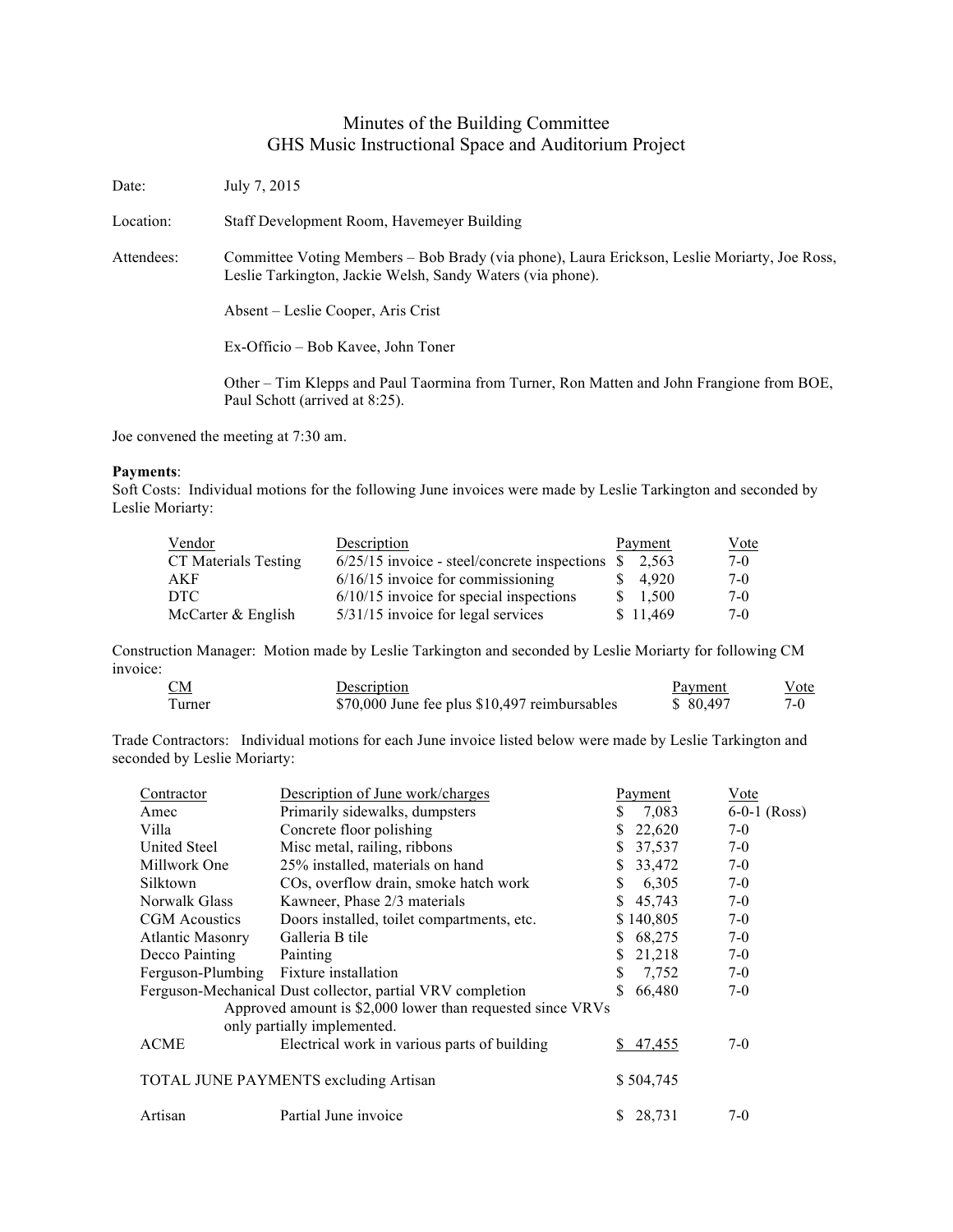## Minutes of the Building Committee GHS Music Instructional Space and Auditorium Project

Date: July 7, 2015 Location: Staff Development Room, Havemeyer Building Attendees: Committee Voting Members – Bob Brady (via phone), Laura Erickson, Leslie Moriarty, Joe Ross, Leslie Tarkington, Jackie Welsh, Sandy Waters (via phone). Absent – Leslie Cooper, Aris Crist Ex-Officio – Bob Kavee, John Toner Other – Tim Klepps and Paul Taormina from Turner, Ron Matten and John Frangione from BOE, Paul Schott (arrived at 8:25).

Joe convened the meeting at 7:30 am.

## **Payments**:

Soft Costs: Individual motions for the following June invoices were made by Leslie Tarkington and seconded by Leslie Moriarty:

| Vendor               | Description                                    | Payment      | <u>Vote</u> |
|----------------------|------------------------------------------------|--------------|-------------|
| CT Materials Testing | $6/25/15$ invoice - steel/concrete inspections | -SS<br>2.563 | 7-0         |
| AKF                  | $6/16/15$ invoice for commissioning            | 4.920        | $7-0$       |
| DTC                  | $6/10/15$ invoice for special inspections      | \$1.500      | 7-0         |
| McCarter & English   | 5/31/15 invoice for legal services             | \$11,469     | $7-0$       |

Construction Manager: Motion made by Leslie Tarkington and seconded by Leslie Moriarty for following CM invoice:

| CМ     | Description                                   | Payment   | Vote  |
|--------|-----------------------------------------------|-----------|-------|
| Turner | \$70,000 June fee plus \$10,497 reimbursables | \$ 80.497 | $7-0$ |

Trade Contractors: Individual motions for each June invoice listed below were made by Leslie Tarkington and seconded by Leslie Moriarty:

| Contractor                                                 | Description of June work/charges                           |    | Payment   | Vote           |
|------------------------------------------------------------|------------------------------------------------------------|----|-----------|----------------|
| Amec                                                       | Primarily sidewalks, dumpsters                             | S  | 7,083     | $6-0-1$ (Ross) |
| Villa                                                      | Concrete floor polishing                                   |    | 22,620    | $7-0$          |
| United Steel                                               | Misc metal, railing, ribbons                               |    | 37,537    | $7-0$          |
| Millwork One                                               | 25% installed, materials on hand                           | S. | 33,472    | $7-0$          |
| Silktown                                                   | COs, overflow drain, smoke hatch work                      | S. | 6,305     | $7-0$          |
| Norwalk Glass                                              | Kawneer, Phase 2/3 materials                               | S. | 45,743    | $7-0$          |
| CGM Acoustics                                              | Doors installed, toilet compartments, etc.                 |    | \$140,805 | $7-0$          |
| <b>Atlantic Masonry</b>                                    | Galleria B tile                                            | S. | 68,275    | $7-0$          |
| Decco Painting                                             | Painting                                                   | S. | 21,218    | $7-0$          |
| Ferguson-Plumbing                                          | Fixture installation                                       | S  | 7,752     | $7-0$          |
|                                                            | Ferguson-Mechanical Dust collector, partial VRV completion |    | 66,480    | $7-0$          |
| Approved amount is \$2,000 lower than requested since VRVs |                                                            |    |           |                |
|                                                            | only partially implemented.                                |    |           |                |
| <b>ACME</b>                                                | Electrical work in various parts of building               |    | 47,455    | $7-0$          |
|                                                            | TOTAL JUNE PAYMENTS excluding Artisan                      |    | \$504,745 |                |
| Artisan                                                    | Partial June invoice                                       |    | 28,731    | $7-0$          |